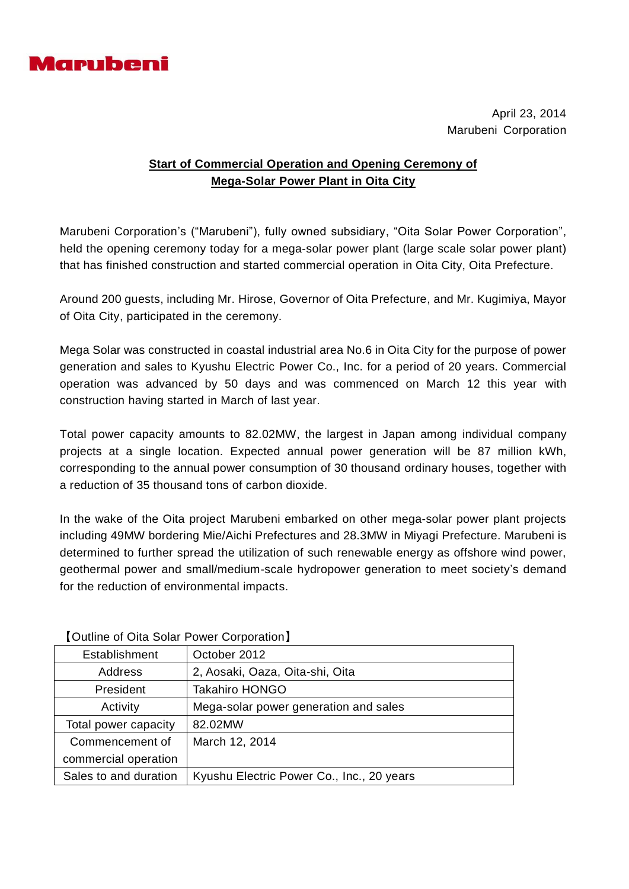

April 23, 2014 Marubeni Corporation

## **Start of Commercial Operation and Opening Ceremony of Mega-Solar Power Plant in Oita City**

Marubeni Corporation's ("Marubeni"), fully owned subsidiary, "Oita Solar Power Corporation", held the opening ceremony today for a mega-solar power plant (large scale solar power plant) that has finished construction and started commercial operation in Oita City, Oita Prefecture.

Around 200 guests, including Mr. Hirose, Governor of Oita Prefecture, and Mr. Kugimiya, Mayor of Oita City, participated in the ceremony.

Mega Solar was constructed in coastal industrial area No.6 in Oita City for the purpose of power generation and sales to Kyushu Electric Power Co., Inc. for a period of 20 years. Commercial operation was advanced by 50 days and was commenced on March 12 this year with construction having started in March of last year.

Total power capacity amounts to 82.02MW, the largest in Japan among individual company projects at a single location. Expected annual power generation will be 87 million kWh, corresponding to the annual power consumption of 30 thousand ordinary houses, together with a reduction of 35 thousand tons of carbon dioxide.

In the wake of the Oita project Marubeni embarked on other mega-solar power plant projects including 49MW bordering Mie/Aichi Prefectures and 28.3MW in Miyagi Prefecture. Marubeni is determined to further spread the utilization of such renewable energy as offshore wind power, geothermal power and small/medium-scale hydropower generation to meet society's demand for the reduction of environmental impacts.

| <b>TOUTHING OF ORGIVAL FORCE COPPORATION</b> |  |
|----------------------------------------------|--|
| October 2012                                 |  |
| 2, Aosaki, Oaza, Oita-shi, Oita              |  |
| <b>Takahiro HONGO</b>                        |  |
| Mega-solar power generation and sales        |  |
| 82.02MW                                      |  |
| March 12, 2014                               |  |
|                                              |  |
| Kyushu Electric Power Co., Inc., 20 years    |  |
|                                              |  |

## 【Outline of Oita Solar Power Corporation】